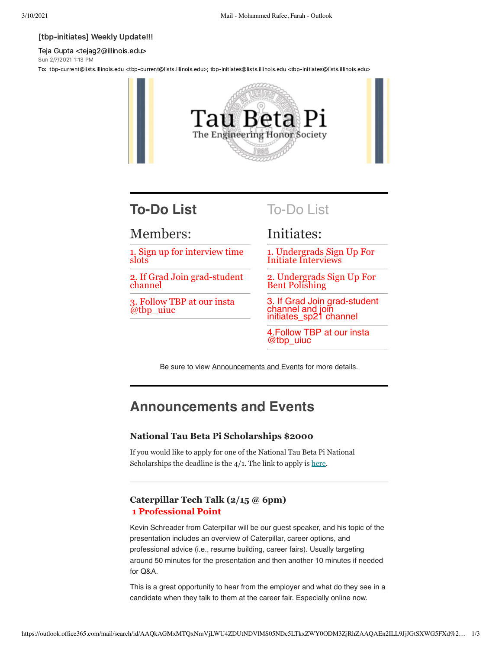#### [tbp-initiates] Weekly Update!!!

Teja Gupta <tejag2@illinois.edu> Sun 2/7/2021 1:13 PM

To: tbp-current@lists.illinois.edu <tbp-current@lists.illinois.edu>; tbp-initiates@lists.illinois.edu <tbp-initiates@lists.illinois.edu>



# **To-Do List**

## Members:

1. Sign up for interview time slots

2. If Grad Join grad-student channel

3. Follow TBP at our insta @tbp\_uiuc

To-Do List

# Initiates:

1. Undergrads Sign Up For Initiate Interviews

2. Undergrads Sign Up For Bent Polishing

3. If Grad Join grad-student channel and join initiates\_sp21 channel

4.Follow TBP at our insta @tbp\_uiuc

Be sure to view Announcements and Events for more details.

# **Announcements and Events**

## **National Tau Beta Pi Scholarships \$2000**

If you would like to apply for one of the National Tau Beta Pi National Scholarships the deadline is the  $4/1$ . The link to apply is [here](https://urldefense.com/v3/__http://https/*www.tbp.org/memb/ScholarshipInfoSheet.pdf__;Lw!!DZ3fjg!ujrBugCyqwpYqzn2LItUuG1Rkoql-Y4-ExwY8422ff5N-uazYm9ymgSHh8tPIJfoTQzAi5-rxA8$).

## **Caterpillar Tech Talk (2/15 @ 6pm) 1 Professional Point**

Kevin Schreader from Caterpillar will be our guest speaker, and his topic of the presentation includes an overview of Caterpillar, career options, and professional advice (i.e., resume building, career fairs). Usually targeting around 50 minutes for the presentation and then another 10 minutes if needed for Q&A.

This is a great opportunity to hear from the employer and what do they see in a candidate when they talk to them at the career fair. Especially online now.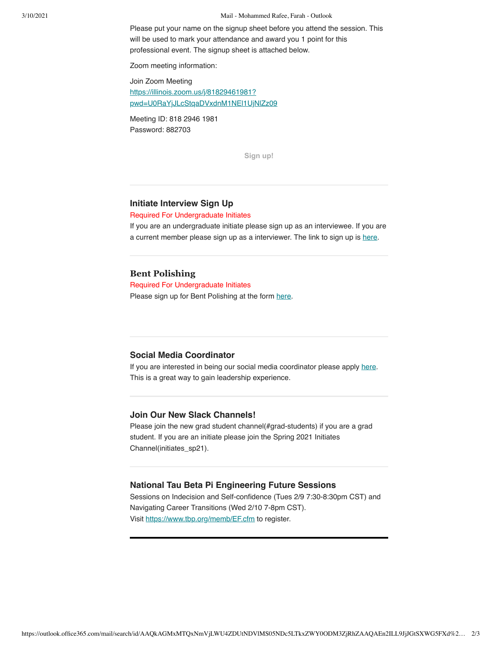#### 3/10/2021 Mail - Mohammed Rafee, Farah - Outlook

Please put your name on the signup sheet before you attend the session. This will be used to mark your attendance and award you 1 point for this professional event. The signup sheet is attached below.

Zoom meeting information:

Join Zoom Meeting https://illinois.zoom.us/j/81829461981? [pwd=U0RaYjJLcStqaDVxdnM1NEl1UjNlZz09](https://urldefense.com/v3/__https://illinois.zoom.us/j/81829461981?pwd=U0RaYjJLcStqaDVxdnM1NEl1UjNlZz09__;!!DZ3fjg!ujrBugCyqwpYqzn2LItUuG1Rkoql-Y4-ExwY8422ff5N-uazYm9ymgSHh8tPIJfoTQzAD2b3GCk$)

Meeting ID: 818 2946 1981 Password: 882703

**[Sign up!](https://urldefense.com/v3/__https://docs.google.com/spreadsheets/d/10jb3_EzSW2mLJr4n28IRIInNAzY9wkSe2fhr8gonv2I/edit*gid=0__;Iw!!DZ3fjg!ujrBugCyqwpYqzn2LItUuG1Rkoql-Y4-ExwY8422ff5N-uazYm9ymgSHh8tPIJfoTQzAjZrblRc$)**

### **Initiate Interview Sign Up**

Required For Undergraduate Initiates

If you are an undergraduate initiate please sign up as an interviewee. If you are a current member please sign up as a interviewer. The link to sign up is [here.](https://urldefense.com/v3/__https://docs.google.com/spreadsheets/d/1lx7Ac4sFCzsU92poTwJUiWHWOi2ux5ypaXmDNVwdeYo/edit*gid=0__;Iw!!DZ3fjg!ujrBugCyqwpYqzn2LItUuG1Rkoql-Y4-ExwY8422ff5N-uazYm9ymgSHh8tPIJfoTQzAo-_D2E0$)

### **Bent Polishing**

Required For Undergraduate Initiates Please sign up for Bent Polishing at the form [here](https://urldefense.com/v3/__https://docs.google.com/forms/d/e/1FAIpQLSeSwXeho_Em18fyBrs_dZ6fvxUJZRsq_Pez3lF1AgFbMpTo0g/viewform__;!!DZ3fjg!ujrBugCyqwpYqzn2LItUuG1Rkoql-Y4-ExwY8422ff5N-uazYm9ymgSHh8tPIJfoTQzAJtZ682A$).

### **Social Media Coordinator**

If you are interested in being our social media coordinator please apply [here.](https://urldefense.com/v3/__https://docs.google.com/forms/d/e/1FAIpQLSf_dldNCYvG35djKJsIphsL5KxvuS1rCW2ZivZEJa0J0QO_6g/viewform__;!!DZ3fjg!ujrBugCyqwpYqzn2LItUuG1Rkoql-Y4-ExwY8422ff5N-uazYm9ymgSHh8tPIJfoTQzAN5cACNQ$) This is a great way to gain leadership experience.

## **Join Our New Slack Channels!**

Please join the new grad student channel(#grad-students) if you are a grad student. If you are an initiate please join the Spring 2021 Initiates Channel(initiates\_sp21).

### **National Tau Beta Pi Engineering Future Sessions**

Sessions on Indecision and Self-confidence (Tues 2/9 7:30-8:30pm CST) and Navigating Career Transitions (Wed 2/10 7-8pm CST). Visit [https://www.tbp.org/memb/EF.cfm](https://urldefense.com/v3/__https://www.tbp.org/memb/EF.cfm__;!!DZ3fjg!ujrBugCyqwpYqzn2LItUuG1Rkoql-Y4-ExwY8422ff5N-uazYm9ymgSHh8tPIJfoTQzAAOjYdlE$) to register.